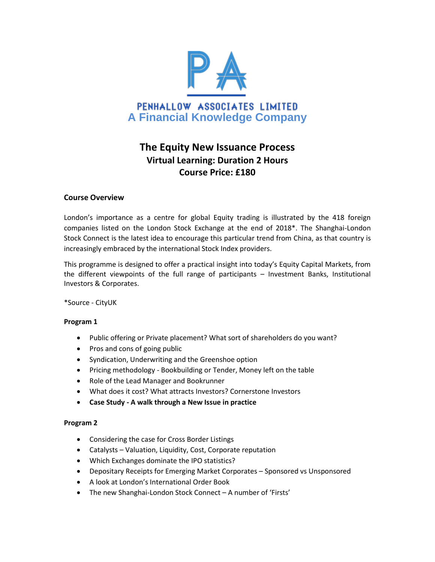

# **The Equity New Issuance Process Virtual Learning: Duration 2 Hours Course Price: £180**

# **Course Overview**

London's importance as a centre for global Equity trading is illustrated by the 418 foreign companies listed on the London Stock Exchange at the end of 2018\*. The Shanghai-London Stock Connect is the latest idea to encourage this particular trend from China, as that country is increasingly embraced by the international Stock Index providers.

This programme is designed to offer a practical insight into today's Equity Capital Markets, from the different viewpoints of the full range of participants – Investment Banks, Institutional Investors & Corporates.

\*Source - CityUK

# **Program 1**

- Public offering or Private placement? What sort of shareholders do you want?
- Pros and cons of going public
- Syndication, Underwriting and the Greenshoe option
- Pricing methodology Bookbuilding or Tender, Money left on the table
- Role of the Lead Manager and Bookrunner
- What does it cost? What attracts Investors? Cornerstone Investors
- **Case Study - A walk through a New Issue in practice**

# **Program 2**

- Considering the case for Cross Border Listings
- Catalysts Valuation, Liquidity, Cost, Corporate reputation
- Which Exchanges dominate the IPO statistics?
- Depositary Receipts for Emerging Market Corporates Sponsored vs Unsponsored
- A look at London's International Order Book
- The new Shanghai-London Stock Connect A number of 'Firsts'